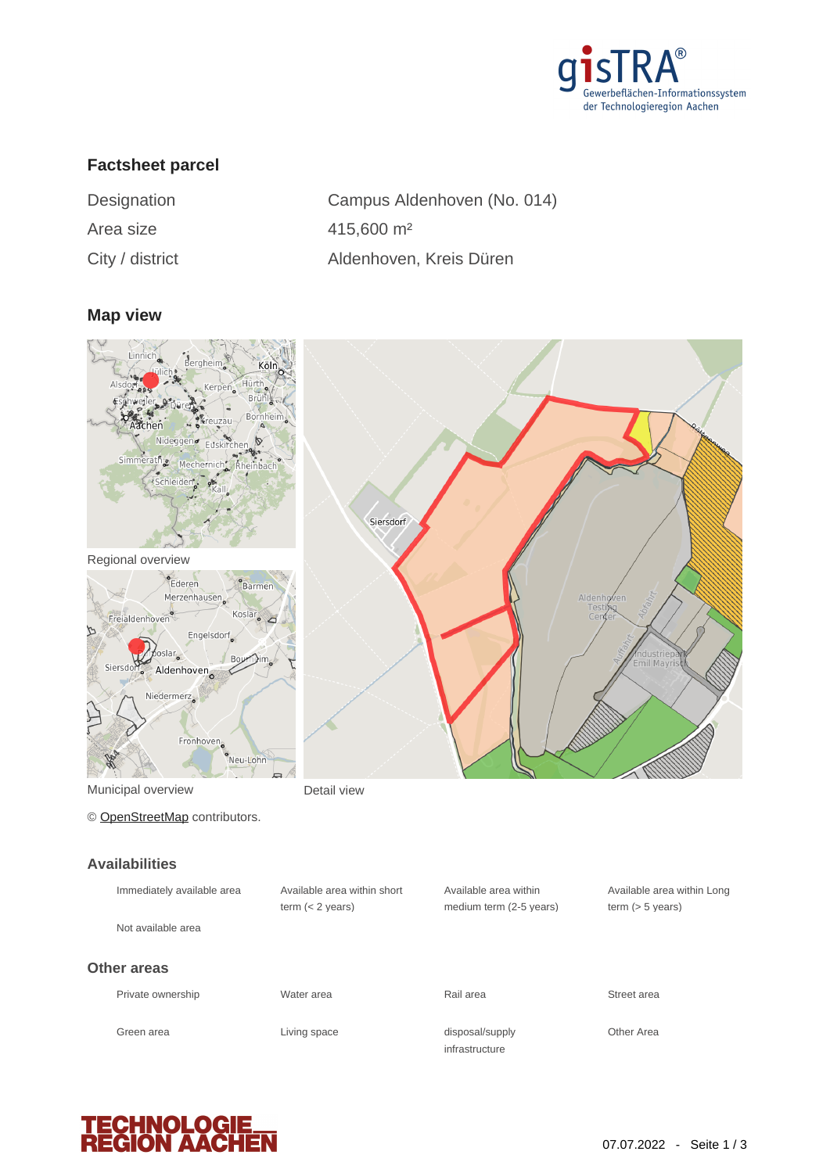

## **Factsheet parcel**

| Designation     | Campus Aldenhoven (No. 014) |
|-----------------|-----------------------------|
| Area size       | $415,600 \text{ m}^2$       |
| City / district | Aldenhoven, Kreis Düren     |

#### **Map view**



Regional overview



Municipal overview **Detail view** 

© [OpenStreetMap](http://www.openstreetmap.org/copyright) contributors.

# **Availabilities**

| <b>AVAILADILITIES</b>      |                                                   |                                                  |                               |
|----------------------------|---------------------------------------------------|--------------------------------------------------|-------------------------------|
| Immediately available area | Available area within short<br>term $(< 2$ years) | Available area within<br>medium term (2-5 years) | Available a<br>term $(> 5 v)$ |
| Not available area         |                                                   |                                                  |                               |
| Other areas                |                                                   |                                                  |                               |
| Private ownership          | Water area                                        | Rail area                                        | Street area                   |
| Green area                 | Living space                                      | disposal/supply<br>infrastructure                | Other Area                    |





Available area within Long

term (> 5 years)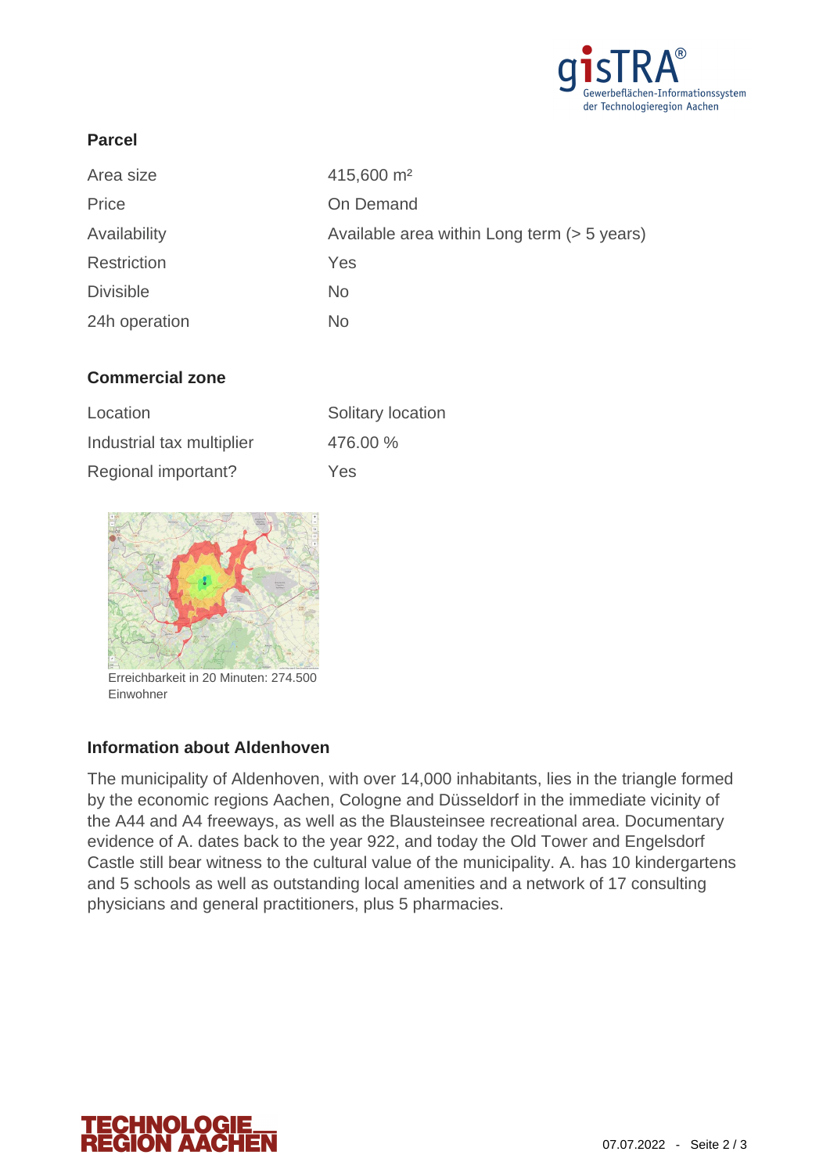

### **Parcel**

| Area size        | 415,600 m <sup>2</sup>                      |
|------------------|---------------------------------------------|
| Price            | On Demand                                   |
| Availability     | Available area within Long term (> 5 years) |
| Restriction      | Yes                                         |
| <b>Divisible</b> | <b>No</b>                                   |
| 24h operation    | No.                                         |

## **Commercial zone**

| Location                  | Solitary location |
|---------------------------|-------------------|
| Industrial tax multiplier | 476.00 %          |
| Regional important?       | Yes               |



Erreichbarkeit in 20 Minuten: 274.500 Einwohner

#### **Information about Aldenhoven**

The municipality of Aldenhoven, with over 14,000 inhabitants, lies in the triangle formed by the economic regions Aachen, Cologne and Düsseldorf in the immediate vicinity of the A44 and A4 freeways, as well as the Blausteinsee recreational area. Documentary evidence of A. dates back to the year 922, and today the Old Tower and Engelsdorf Castle still bear witness to the cultural value of the municipality. A. has 10 kindergartens and 5 schools as well as outstanding local amenities and a network of 17 consulting physicians and general practitioners, plus 5 pharmacies.